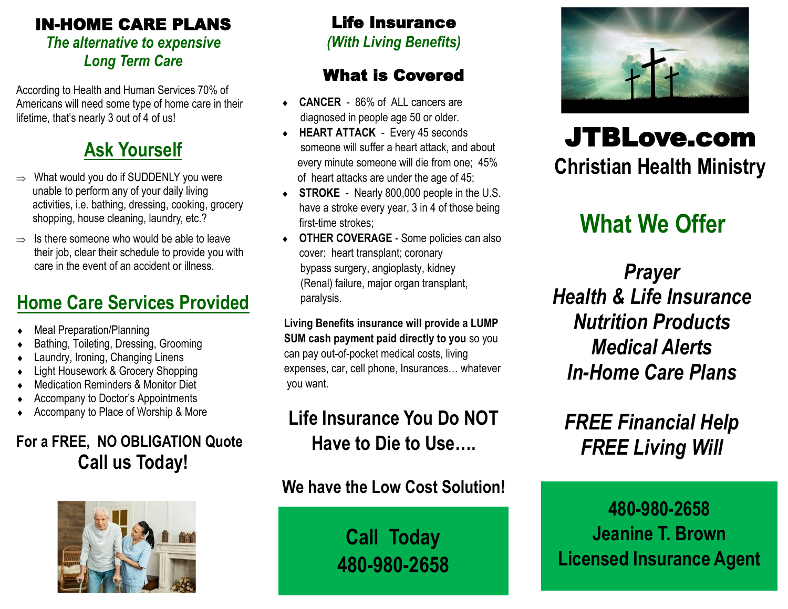#### IN-HOME CARE PLANS *The alternative to expensive Long Term Care*

According to Health and Human Services 70% of Americans will need some type of home care in their lifetime, that's nearly 3 out of 4 of us!

## **Ask Yourself**

- $\Rightarrow$  What would you do if SUDDENLY you were unable to perform any of your daily living activities, i.e. bathing, dressing, cooking, grocery shopping, house cleaning, laundry, etc.?
- $\Rightarrow$  Is there someone who would be able to leave their job, clear their schedule to provide you with care in the event of an accident or illness.

## **Home Care Services Provided**

- Meal Preparation/Planning
- Bathing, Toileting, Dressing, Grooming
- Laundry, Ironing, Changing Linens
- Light Housework & Grocery Shopping
- Medication Reminders & Monitor Diet
- Accompany to Doctor's Appointments
- Accompany to Place of Worship & More

### **For a FREE, NO OBLIGATION Quote Call us Today!**



### Life Insurance

*(With Living Benefits)*

### What is Covered

- ◆ **CANCER** 86% of ALL cancers are diagnosed in people age 50 or older.
- **HEART ATTACK** Every 45 seconds someone will suffer a heart attack, and about every minute someone will die from one; 45% of heart attacks are under the age of 45;
- **STROKE** Nearly 800,000 people in the U.S. have a stroke every year, 3 in 4 of those being first-time strokes:
- **OTHER COVERAGE** Some policies can also cover: heart transplant; coronary bypass surgery, angioplasty, kidney (Renal) failure, major organ transplant, paralysis.

**Living Benefits insurance will provide a LUMP SUM cash payment paid directly to you** so you can pay out-of-pocket medical costs, living expenses, car, cell phone, Insurances… whatever you want.

## **Life Insurance You Do NOT Have to Die to Use….**

**We have the Low Cost Solution!**

**Call Today 480-980-2658**



# JTBLove.com **Christian Health Ministry**

# **What We Offer**

*Prayer Health & Life Insurance Nutrition Products Medical Alerts In-Home Care Plans*

## *FREE Financial Help FREE Living Will*

**480-980-2658 Jeanine T. Brown Licensed Insurance Agent**